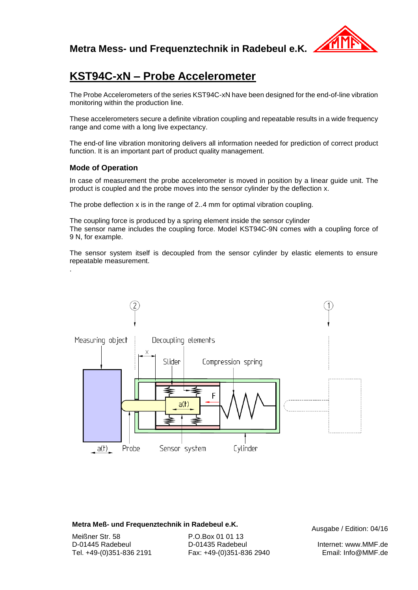### **Metra Mess- und Frequenztechnik in Radebeul e.K.**



# **KST94C-xN – Probe Accelerometer**

The Probe Accelerometers of the series KST94C-xN have been designed for the end-of-line vibration monitoring within the production line.

These accelerometers secure a definite vibration coupling and repeatable results in a wide frequency range and come with a long live expectancy.

The end-of line vibration monitoring delivers all information needed for prediction of correct product function. It is an important part of product quality management.

### **Mode of Operation**

.

In case of measurement the probe accelerometer is moved in position by a linear guide unit. The product is coupled and the probe moves into the sensor cylinder by the deflection x.

The probe deflection x is in the range of 2..4 mm for optimal vibration coupling.

The coupling force is produced by a spring element inside the sensor cylinder The sensor name includes the coupling force. Model KST94C-9N comes with a coupling force of 9 N, for example.

The sensor system itself is decoupled from the sensor cylinder by elastic elements to ensure repeatable measurement.



# **Metra Meß- und Frequenztechnik in Radebeul e.K.** Ausgabe / Edition: 04/16

Meißner Str. 58 D-01445 Radebeul Tel. +49-(0)351-836 2191

P.O.Box 01 01 13 D-01435 Radebeul Fax: +49-(0)351-836 2940

Internet: www.MMF.de Email: Info@MMF.de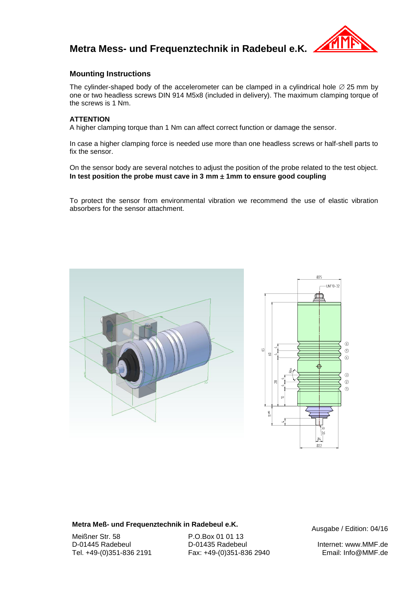### **Metra Mess- und Frequenztechnik in Radebeul e.K.**



### **Mounting Instructions**

The cylinder-shaped body of the accelerometer can be clamped in a cylindrical hole  $\varnothing$  25 mm by one or two headless screws DIN 914 M5x8 (included in delivery). The maximum clamping torque of the screws is 1 Nm.

#### **ATTENTION**

A higher clamping torque than 1 Nm can affect correct function or damage the sensor.

In case a higher clamping force is needed use more than one headless screws or half-shell parts to fix the sensor.

On the sensor body are several notches to adjust the position of the probe related to the test object. In test position the probe must cave in 3 mm  $\pm$  1mm to ensure good coupling

To protect the sensor from environmental vibration we recommend the use of elastic vibration absorbers for the sensor attachment.



## **Metra Meß- und Frequenztechnik in Radebeul e.K.** Ausgabe / Edition: 04/16

Meißner Str. 58 D-01445 Radebeul Tel. +49-(0)351-836 2191

P.O.Box 01 01 13 D-01435 Radebeul Fax: +49-(0)351-836 2940

0122

Internet: www.MMF.de Email: Info@MMF.de